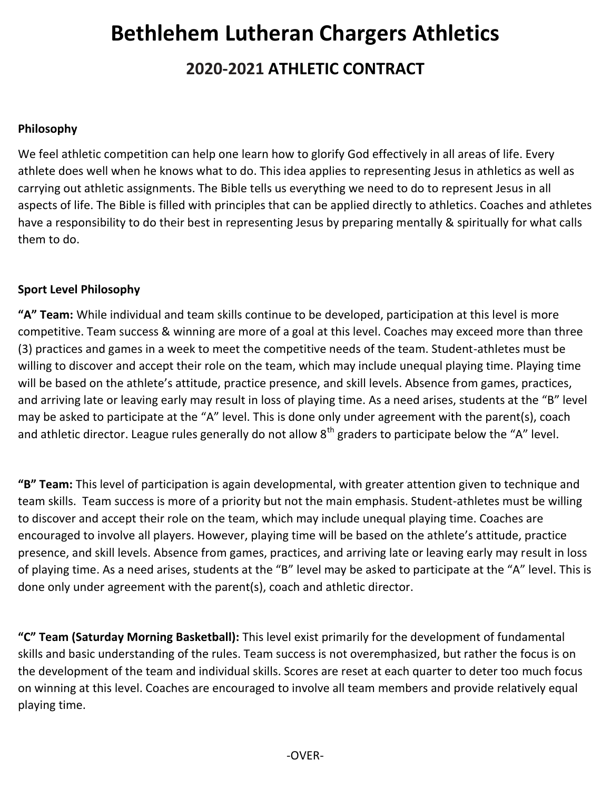# **Bethlehem Lutheran Chargers Athletics 2018-2019 ATHLETIC CONTRACT 2020-2021**

# **Philosophy**

We feel athletic competition can help one learn how to glorify God effectively in all areas of life. Every athlete does well when he knows what to do. This idea applies to representing Jesus in athletics as well as carrying out athletic assignments. The Bible tells us everything we need to do to represent Jesus in all aspects of life. The Bible is filled with principles that can be applied directly to athletics. Coaches and athletes have a responsibility to do their best in representing Jesus by preparing mentally & spiritually for what calls them to do.

## **Sport Level Philosophy**

**"A" Team:** While individual and team skills continue to be developed, participation at this level is more competitive. Team success & winning are more of a goal at this level. Coaches may exceed more than three (3) practices and games in a week to meet the competitive needs of the team. Student-athletes must be willing to discover and accept their role on the team, which may include unequal playing time. Playing time will be based on the athlete's attitude, practice presence, and skill levels. Absence from games, practices, and arriving late or leaving early may result in loss of playing time. As a need arises, students at the "B" level may be asked to participate at the "A" level. This is done only under agreement with the parent(s), coach and athletic director. League rules generally do not allow  $8<sup>th</sup>$  graders to participate below the "A" level.

**"B" Team:** This level of participation is again developmental, with greater attention given to technique and team skills. Team success is more of a priority but not the main emphasis. Student-athletes must be willing to discover and accept their role on the team, which may include unequal playing time. Coaches are encouraged to involve all players. However, playing time will be based on the athlete's attitude, practice presence, and skill levels. Absence from games, practices, and arriving late or leaving early may result in loss of playing time. As a need arises, students at the "B" level may be asked to participate at the "A" level. This is done only under agreement with the parent(s), coach and athletic director.

**"C" Team (Saturday Morning Basketball):** This level exist primarily for the development of fundamental skills and basic understanding of the rules. Team success is not overemphasized, but rather the focus is on the development of the team and individual skills. Scores are reset at each quarter to deter too much focus on winning at this level. Coaches are encouraged to involve all team members and provide relatively equal playing time.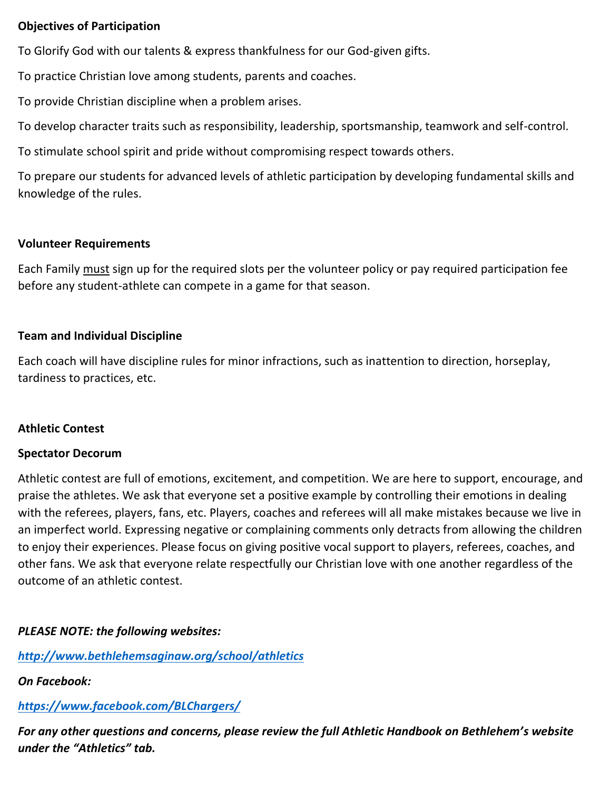# **Objectives of Participation**

To Glorify God with our talents & express thankfulness for our God-given gifts.

To practice Christian love among students, parents and coaches.

To provide Christian discipline when a problem arises.

To develop character traits such as responsibility, leadership, sportsmanship, teamwork and self-control.

To stimulate school spirit and pride without compromising respect towards others.

To prepare our students for advanced levels of athletic participation by developing fundamental skills and knowledge of the rules.

#### **Volunteer Requirements**

Each Family must sign up for the required slots per the volunteer policy or pay required participation fee before any student-athlete can compete in a game for that season.

## **Team and Individual Discipline**

Each coach will have discipline rules for minor infractions, such as inattention to direction, horseplay, tardiness to practices, etc.

#### **Athletic Contest**

#### **Spectator Decorum**

Athletic contest are full of emotions, excitement, and competition. We are here to support, encourage, and praise the athletes. We ask that everyone set a positive example by controlling their emotions in dealing with the referees, players, fans, etc. Players, coaches and referees will all make mistakes because we live in an imperfect world. Expressing negative or complaining comments only detracts from allowing the children to enjoy their experiences. Please focus on giving positive vocal support to players, referees, coaches, and other fans. We ask that everyone relate respectfully our Christian love with one another regardless of the outcome of an athletic contest.

# *PLEASE NOTE: the following websites:*

*http://www.bethlehemsaginaw.org/school/athletics*

*On Facebook:*

*https://www.facebook.com/BLChargers/*

*For any other questions and concerns, please review the full Athletic Handbook on Bethlehem's website under the "Athletics" tab.*